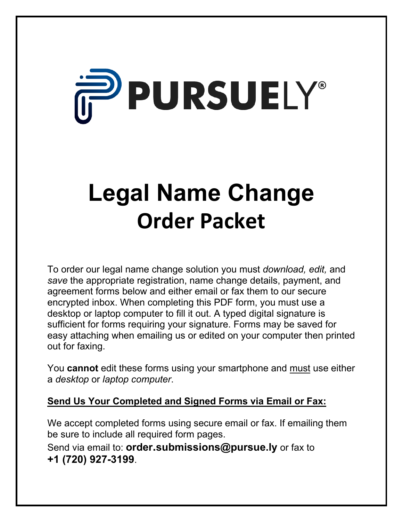# **PURSUELY®**

## **Legal Name Change Order Packet**

To order our legal name change solution you must *download, edit,* and *save* the appropriate registration, name change details, payment, and agreement forms below and either email or fax them to our secure encrypted inbox. When completing this PDF form, you must use a desktop or laptop computer to fill it out. A typed digital signature is sufficient for forms requiring your signature. Forms may be saved for easy attaching when emailing us or edited on your computer then printed out for faxing.

You **cannot** edit these forms using your smartphone and must use either a *desktop* or *laptop computer*.

#### **Send Us Your Completed and Signed Forms via Email or Fax:**

We accept completed forms using secure email or fax. If emailing them be sure to include all required form pages.

Send via email to: **order.submissions@pursue.ly** or fax to **+1 (720) 927-3199**.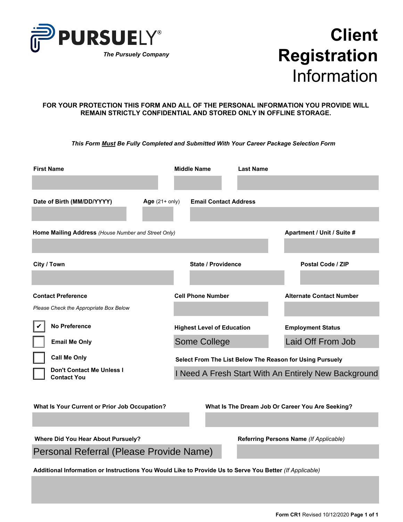

## **Client Registration** Information

#### **FOR YOUR PROTECTION THIS FORM AND ALL OF THE PERSONAL INFORMATION YOU PROVIDE WILL REMAIN STRICTLY CONFIDENTIAL AND STORED ONLY IN OFFLINE STORAGE.**

*This Form Must Be Fully Completed and Submitted With Your Career Package Selection Form*

| <b>First Name</b>                                                                                       |  | <b>Middle Name</b>                | <b>Last Name</b> |                                                                               |  |  |  |
|---------------------------------------------------------------------------------------------------------|--|-----------------------------------|------------------|-------------------------------------------------------------------------------|--|--|--|
| Date of Birth (MM/DD/YYYY)<br>Age $(21+$ only)                                                          |  | <b>Email Contact Address</b>      |                  |                                                                               |  |  |  |
| Home Mailing Address (House Number and Street Only)                                                     |  |                                   |                  | Apartment / Unit / Suite #                                                    |  |  |  |
| City / Town                                                                                             |  | <b>State / Providence</b>         |                  | Postal Code / ZIP                                                             |  |  |  |
| <b>Contact Preference</b><br>Please Check the Appropriate Box Below                                     |  | <b>Cell Phone Number</b>          |                  | <b>Alternate Contact Number</b>                                               |  |  |  |
| <b>No Preference</b>                                                                                    |  | <b>Highest Level of Education</b> |                  | <b>Employment Status</b>                                                      |  |  |  |
| <b>Email Me Only</b><br><b>Call Me Only</b>                                                             |  | Some College                      |                  | Laid Off From Job<br>Select From The List Below The Reason for Using Pursuely |  |  |  |
| Don't Contact Me Unless I<br><b>Contact You</b>                                                         |  |                                   |                  | I Need A Fresh Start With An Entirely New Background                          |  |  |  |
| What Is Your Current or Prior Job Occupation?                                                           |  |                                   |                  | What Is The Dream Job Or Career You Are Seeking?                              |  |  |  |
| <b>Where Did You Hear About Pursuely?</b>                                                               |  |                                   |                  | Referring Persons Name (If Applicable)                                        |  |  |  |
| Personal Referral (Please Provide Name)                                                                 |  |                                   |                  |                                                                               |  |  |  |
| Additional Information or Instructions You Would Like to Provide Us to Serve You Better (If Applicable) |  |                                   |                  |                                                                               |  |  |  |
|                                                                                                         |  |                                   |                  |                                                                               |  |  |  |
|                                                                                                         |  |                                   |                  | Form CR1 Revised 10/12/2020 Page 1 of 1                                       |  |  |  |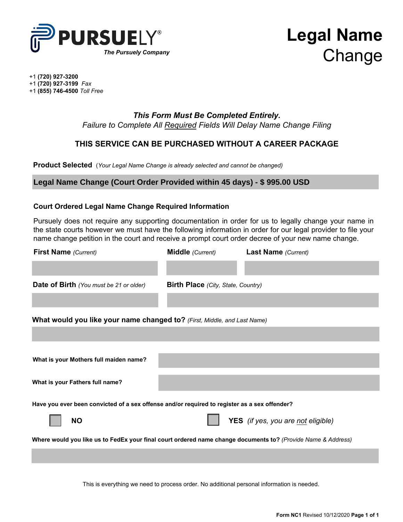

## **Legal Name** *The Pursuely Company*<br> **Change**

+1 **(720) 927-3200**

+1 **(720) 927-3199** *Fax*

+1 **(855) 746-4500** *Toll Free*

#### *This Form Must Be Completed Entirely.*

*Failure to Complete All Required Fields Will Delay Name Change Filing*

#### **THIS SERVICE CAN BE PURCHASED WITHOUT A CAREER PACKAGE**

**Product Selected** (*Your Legal Name Change is already selected and cannot be changed*)

#### **Legal Name Change (Court Order Provided within 45 days) - \$ 995.00 USD**

#### **Court Ordered Legal Name Change Required Information**

Pursuely does not require any supporting documentation in order for us to legally change your name in the state courts however we must have the following information in order for our legal provider to file your name change petition in the court and receive a prompt court order decree of your new name change.

| <b>First Name</b> (Current)                                                                                  | Middle (Current)                          | <b>Last Name</b> (Current)         |  |  |  |  |  |  |  |
|--------------------------------------------------------------------------------------------------------------|-------------------------------------------|------------------------------------|--|--|--|--|--|--|--|
|                                                                                                              |                                           |                                    |  |  |  |  |  |  |  |
| Date of Birth (You must be 21 or older)                                                                      | <b>Birth Place</b> (City, State, Country) |                                    |  |  |  |  |  |  |  |
|                                                                                                              |                                           |                                    |  |  |  |  |  |  |  |
| What would you like your name changed to? (First, Middle, and Last Name)                                     |                                           |                                    |  |  |  |  |  |  |  |
|                                                                                                              |                                           |                                    |  |  |  |  |  |  |  |
|                                                                                                              |                                           |                                    |  |  |  |  |  |  |  |
| What is your Mothers full maiden name?                                                                       |                                           |                                    |  |  |  |  |  |  |  |
| What is your Fathers full name?                                                                              |                                           |                                    |  |  |  |  |  |  |  |
| Have you ever been convicted of a sex offense and/or required to register as a sex offender?                 |                                           |                                    |  |  |  |  |  |  |  |
| <b>NO</b>                                                                                                    |                                           | YES (if yes, you are not eligible) |  |  |  |  |  |  |  |
| Where would you like us to FedEx your final court ordered name change documents to? (Provide Name & Address) |                                           |                                    |  |  |  |  |  |  |  |
|                                                                                                              |                                           |                                    |  |  |  |  |  |  |  |

This is everything we need to process order. No additional personal information is needed.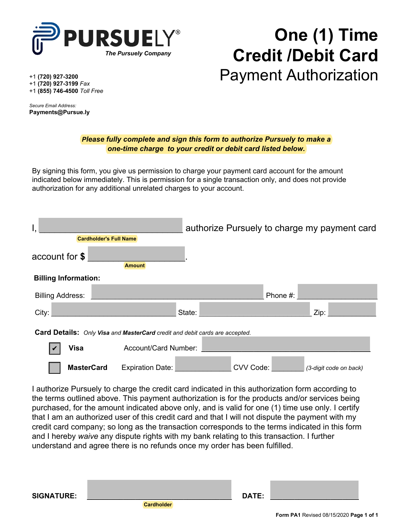

## **One (1) Time Credit /Debit Card** Payment Authorization

+1 **(720) 927-3200**

+1 **(720) 927-3199** *Fax* +1 **(855) 746-4500** *Toll Free*

*Secure Email Address:* **Payments@Pursue.ly**

#### *Please fully complete and sign this form to authorize Pursuely to make a one-time charge to your credit or debit card listed below.*

By signing this form, you give us permission to charge your payment card account for the amount indicated below immediately. This is permission for a single transaction only, and does not provide authorization for any additional unrelated charges to your account.

|                                                                                    |                               |                         |        |           |          | authorize Pursuely to charge my payment card |  |  |
|------------------------------------------------------------------------------------|-------------------------------|-------------------------|--------|-----------|----------|----------------------------------------------|--|--|
|                                                                                    | <b>Cardholder's Full Name</b> |                         |        |           |          |                                              |  |  |
| account for \$                                                                     |                               |                         |        |           |          |                                              |  |  |
|                                                                                    |                               | <b>Amount</b>           |        |           |          |                                              |  |  |
| <b>Billing Information:</b>                                                        |                               |                         |        |           |          |                                              |  |  |
| <b>Billing Address:</b>                                                            |                               |                         |        |           | Phone #: |                                              |  |  |
| City:                                                                              |                               |                         | State: |           |          | Zip:                                         |  |  |
| <b>Card Details:</b> Only Visa and MasterCard credit and debit cards are accepted. |                               |                         |        |           |          |                                              |  |  |
| <b>Visa</b>                                                                        |                               | Account/Card Number:    |        |           |          |                                              |  |  |
|                                                                                    | <b>MasterCard</b>             | <b>Expiration Date:</b> |        | CVV Code: |          | (3-digit code on back)                       |  |  |

I authorize Pursuely to charge the credit card indicated in this authorization form according to the terms outlined above. This payment authorization is for the products and/or services being purchased, for the amount indicated above only, and is valid for one (1) time use only. I certify that I am an authorized user of this credit card and that I will not dispute the payment with my credit card company; so long as the transaction corresponds to the terms indicated in this form and I hereby *waive* any dispute rights with my bank relating to this transaction. I further understand and agree there is no refunds once my order has been fulfilled.

 **Cardholder SIGNATURE: \_\_\_\_\_\_\_\_\_\_\_\_\_\_\_\_\_\_\_\_\_\_\_\_\_\_\_\_\_\_\_\_\_\_\_\_ DATE: \_\_\_\_\_\_\_\_\_\_\_\_\_\_\_\_\_\_\_\_\_\_**